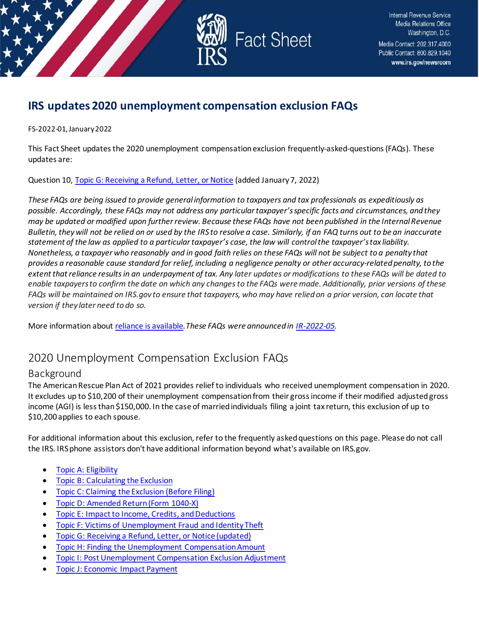

# **IRS updates 2020 unemployment compensation exclusion FAQs**

FS-2022-01, January 2022

This Fact Sheet updates the 2020 unemployment compensation exclusion frequently-asked-questions(FAQs). These updates are:

Question 10[, Topic G: Receiving a Refund, Letter, or Notice](#page-7-0) (added January 7, 2022)

*These FAQs are being issued to provide general information to taxpayers and tax professionals as expeditiously as possible. Accordingly, these FAQs may not address any particular taxpayer's specific facts and circumstances, and they may be updated or modified upon further review. Because these FAQs have not been published in the Internal Revenue Bulletin, they will not be relied on or used by the IRS to resolve a case. Similarly, if an FAQ turns out to be an inaccurate statement of the law as applied to a particular taxpayer's case, the law will control the taxpayer's tax liability. Nonetheless, a taxpayer who reasonably and in good faith relies on these FAQs will not be subject to a penalty that provides a reasonable cause standard for relief, including a negligence penalty or other accuracy-related penalty, to the extent that reliance results in an underpayment of tax. Any later updates or modifications to these FAQs will be dated to enable taxpayers to confirm the date on which any changes to the FAQs were made. Additionally, prior versions of these FAQs will be maintained on IRS.gov to ensure that taxpayers, who may have relied on a prior version, can locate that version if they later need to do so.*

More information about [reliance is available](https://www.irs.gov/newsroom/general-overview-of-taxpayer-reliance-on-guidance-published-in-the-internal-revenue-bulletin-and-faqs)*.These FAQs were announced in [IR-2022-05.](https://www.irs.gov/newsroom/irs-updates-topic-g-faqs-for-2020-unemployment-compensation-exclusion)* 

# 2020 Unemployment Compensation Exclusion FAQs

## Background

The American Rescue Plan Act of 2021 provides relief to individuals who received unemployment compensation in 2020. It excludes up to \$10,200 of their unemployment compensation from their gross income if their modified adjusted gross income (AGI) is less than \$150,000. In the case of married individuals filing a joint tax return, this exclusion of up to \$10,200 applies to each spouse.

For additional information about this exclusion, refer to the frequently asked questions on this page. Please do not call the IRS. IRS phone assistors don't have additional information beyond what's available on IRS.gov.

- [Topic A: Eligibility](#page-1-0)
- [Topic B: Calculating the Exclusion](#page-2-0)
- [Topic C: Claiming the Exclusion \(Before Filing\)](#page-3-0)
- [Topic D: Amended Return \(Form 1040-X\)](#page-4-0)
- [Topic E: Impact to Income, Credits, and Deductions](#page-5-0)
- [Topic F: Victims of Unemployment Fraud and Identity Theft](#page-6-0)
- [Topic G: Receiving a Refund, Letter, or Notice](#page-7-0) (updated)
- [Topic H: Finding the Unemployment Compensation Amount](#page-9-0)
- [Topic I: Post Unemployment Compensation Exclusion Adjustment](#page-10-0)
- [Topic J: Economic Impact Payment](#page-11-0)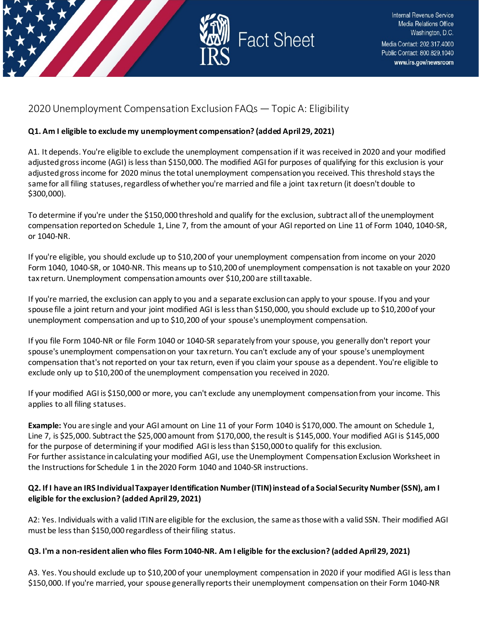

## <span id="page-1-0"></span>2020 Unemployment Compensation Exclusion FAQs — Topic A: Eligibility

## **Q1. Am I eligible to exclude my unemployment compensation? (added April 29, 2021)**

A1. It depends. You're eligible to exclude the unemployment compensation if it wasreceived in 2020 and your modified adjusted gross income (AGI) is less than \$150,000. The modified AGI for purposes of qualifying for this exclusion is your adjusted gross income for 2020 minus the total unemployment compensation you received. This threshold stays the same for all filing statuses, regardless of whether you're married and file a joint tax return (it doesn't double to \$300,000).

To determine if you're under the \$150,000 threshold and qualify for the exclusion, subtract all of the unemployment compensation reported on Schedule 1, Line 7, from the amount of your AGI reported on Line 11 of Form 1040, 1040-SR, or 1040-NR.

If you're eligible, you should exclude up to \$10,200 of your unemployment compensation from income on your 2020 Form 1040, 1040-SR, or 1040-NR. This means up to \$10,200 of unemployment compensation is not taxable on your 2020 tax return. Unemployment compensation amounts over \$10,200 are still taxable.

If you're married, the exclusion can apply to you and a separate exclusion can apply to your spouse. If you and your spouse file a joint return and your joint modified AGI is less than \$150,000, you should exclude up to \$10,200 of your unemployment compensation and up to \$10,200 of your spouse's unemployment compensation.

If you file Form 1040-NR or file Form 1040 or 1040-SR separately from your spouse, you generally don't report your spouse's unemployment compensation on your tax return. You can't exclude any of your spouse's unemployment compensation that's not reported on your tax return, even if you claim your spouse as a dependent. You're eligible to exclude only up to \$10,200 of the unemployment compensation you received in 2020.

If your modified AGI is \$150,000 or more, you can't exclude any unemployment compensation from your income. This applies to all filing statuses.

**Example:** You are single and your AGI amount on Line 11 of your Form 1040 is \$170,000. The amount on Schedule 1, Line 7, is \$25,000. Subtract the \$25,000 amount from \$170,000, the result is \$145,000. Your modified AGI is \$145,000 for the purpose of determining if your modified AGI is less than \$150,000 to qualify for this exclusion. For further assistance in calculating your modified AGI, use the Unemployment Compensation Exclusion Worksheet in the Instructions for Schedule 1 in the 2020 Form 1040 and 1040-SR instructions.

## **Q2. If I have an IRS Individual Taxpayer Identification Number (ITIN) instead of a Social Security Number (SSN), am I eligible for the exclusion? (added April 29, 2021)**

A2: Yes. Individuals with a valid ITIN are eligible for the exclusion, the same as those with a valid SSN. Their modified AGI must be less than \$150,000 regardless of their filing status.

## **Q3. I'm a non-resident alien who files Form 1040-NR. Am I eligible for the exclusion? (added April 29, 2021)**

A3. Yes. You should exclude up to \$10,200 of your unemployment compensation in 2020 if your modified AGI is less than \$150,000. If you're married, your spouse generally reports their unemployment compensation on their Form 1040-NR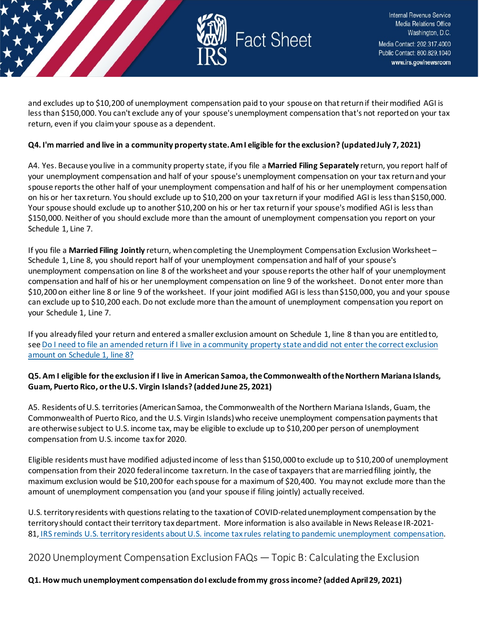

and excludes up to \$10,200 of unemployment compensation paid to your spouse on that return if their modified AGI is less than \$150,000. You can't exclude any of your spouse's unemployment compensation that's not reported on your tax return, even if you claim your spouse as a dependent.

#### **Q4. I'm married and live in a community property state. Am I eligible for the exclusion? (updated July 7, 2021)**

A4. Yes. Because you live in a community property state, if you file a **Married Filing Separately** return, you report half of your unemployment compensation and half of your spouse's unemployment compensation on your tax return and your spouse reports the other half of your unemployment compensation and half of his or her unemployment compensation on his or her tax return. You should exclude up to \$10,200 on your tax return if your modified AGI is less than \$150,000. Your spouse should exclude up to another \$10,200 on his or her tax return if your spouse's modified AGI is less than \$150,000. Neither of you should exclude more than the amount of unemployment compensation you report on your Schedule 1, Line 7.

If you file a **Married Filing Jointly** return, when completing the Unemployment Compensation Exclusion Worksheet – Schedule 1, Line 8, you should report half of your unemployment compensation and half of your spouse's unemployment compensation on line 8 of the worksheet and your spouse reports the other half of your unemployment compensation and half of his or her unemployment compensation on line 9 of the worksheet. Do not enter more than \$10,200 on either line 8 or line 9 of the worksheet. If your joint modified AGI is less than \$150,000, you and your spouse can exclude up to \$10,200 each. Do not exclude more than the amount of unemployment compensation you report on your Schedule 1, Line 7.

If you already filed your return and entered a smaller exclusion amount on Schedule 1, line 8 than you are entitled to, see Do I need to file an amended return if I live in a community property state and did not enter the correct exclusion [amount on Schedule 1, line 8?](https://www.irs.gov/newsroom/2020-unemployment-compensation-exclusion-faqs-topic-d-amended-return-form-1040-x#q4)

#### **Q5. Am I eligible for the exclusion if I live in American Samoa, the Commonwealth of the Northern Mariana Islands, Guam, Puerto Rico, or the U.S. Virgin Islands? (added June 25, 2021)**

A5. Residents of U.S. territories (American Samoa, the Commonwealth of the Northern Mariana Islands, Guam, the Commonwealth of Puerto Rico, and the U.S. Virgin Islands) who receive unemployment compensation payments that are otherwise subject to U.S. income tax, may be eligible to exclude up to \$10,200 per person of unemployment compensation from U.S. income tax for 2020.

Eligible residents must have modified adjusted income of less than \$150,000 to exclude up to \$10,200 of unemployment compensation from their 2020 federal income tax return. In the case of taxpayers that are married filing jointly, the maximum exclusion would be \$10,200 for each spouse for a maximum of \$20,400. You may not exclude more than the amount of unemployment compensation you (and your spouse if filing jointly) actually received.

U.S. territory residents with questions relating to the taxation of COVID-related unemployment compensation by the territory should contact their territory tax department. More information is also available in News Release IR-2021- 81, [IRS reminds U.S. territory residents about U.S. income tax rules relating to pandemic unemployment compensation.](https://www.irs.gov/newsroom/irs-reminds-us-territory-residents-about-us-income-tax-rules-relating-to-pandemic-unemployment-compensation)

<span id="page-2-0"></span>2020 Unemployment Compensation Exclusion FAQs — Topic B: Calculating the Exclusion

**Q1. How much unemployment compensation do I exclude from my gross income? (added April 29, 2021)**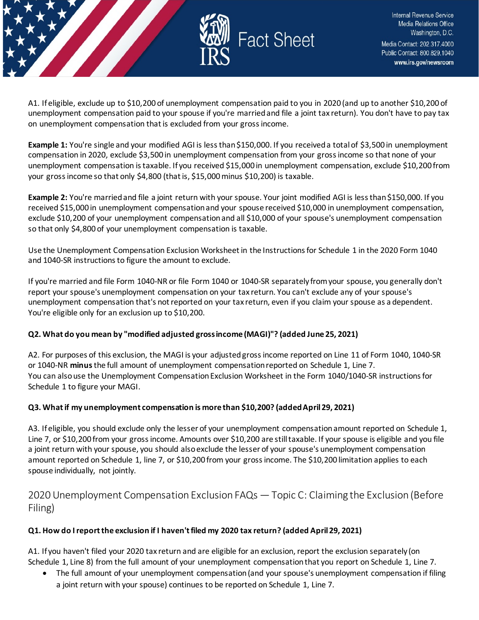

A1. If eligible, exclude up to \$10,200 of unemployment compensation paid to you in 2020 (and up to another \$10,200 of unemployment compensation paid to your spouse if you're married and file a joint tax return). You don't have to pay tax on unemployment compensation that is excluded from your gross income.

Example 1: You're single and your modified AGI is less than \$150,000. If you received a total of \$3,500 in unemployment compensation in 2020, exclude \$3,500 in unemployment compensation from your gross income so that none of your unemployment compensation is taxable. If you received \$15,000 in unemployment compensation, exclude \$10,200 from your gross income so that only \$4,800 (that is, \$15,000 minus \$10,200) is taxable.

**Example 2:** You're married and file a joint return with your spouse. Your joint modified AGI is less than \$150,000. If you received \$15,000 in unemployment compensation and your spouse received \$10,000 in unemployment compensation, exclude \$10,200 of your unemployment compensation and all \$10,000 of your spouse's unemployment compensation so that only \$4,800 of your unemployment compensation is taxable.

Use the Unemployment Compensation Exclusion Worksheet in the Instructions for Schedule 1 in the 2020 Form 1040 and 1040-SR instructions to figure the amount to exclude.

If you're married and file Form 1040-NR or file Form 1040 or 1040-SR separately from your spouse, you generally don't report your spouse's unemployment compensation on your tax return. You can't exclude any of your spouse's unemployment compensation that's not reported on your tax return, even if you claim your spouse as a dependent. You're eligible only for an exclusion up to \$10,200.

## **Q2. What do you mean by "modified adjusted gross income (MAGI)"? (added June 25, 2021)**

A2. For purposes of this exclusion, the MAGI is your adjusted gross income reported on Line 11 of Form 1040, 1040-SR or 1040-NR **minus**the full amount of unemployment compensation reported on Schedule 1, Line 7. You can also use the Unemployment Compensation Exclusion Worksheet in the Form 1040/1040-SR instructions for Schedule 1 to figure your MAGI.

#### **Q3. What if my unemployment compensation is more than \$10,200? (added April 29, 2021)**

A3. If eligible, you should exclude only the lesser of your unemployment compensation amount reported on Schedule 1, Line 7, or \$10,200 from your gross income. Amounts over \$10,200 are still taxable. If your spouse is eligible and you file a joint return with your spouse, you should also exclude the lesser of your spouse's unemployment compensation amount reported on Schedule 1, line 7, or \$10,200 from your gross income. The \$10,200 limitation applies to each spouse individually, not jointly.

<span id="page-3-0"></span>2020 Unemployment Compensation Exclusion FAQs — Topic C: Claiming the Exclusion (Before Filing)

#### **Q1. How do I report the exclusion if I haven't filed my 2020 tax return? (added April 29, 2021)**

A1. If you haven't filed your 2020 tax return and are eligible for an exclusion, report the exclusion separately (on Schedule 1, Line 8) from the full amount of your unemployment compensation that you report on Schedule 1, Line 7.

• The full amount of your unemployment compensation (and your spouse's unemployment compensation if filing a joint return with your spouse) continues to be reported on Schedule 1, Line 7.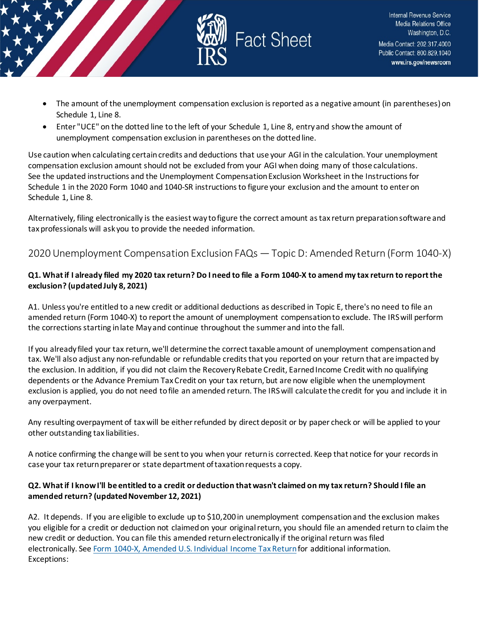

- The amount of the unemployment compensation exclusion is reported as a negative amount (in parentheses) on Schedule 1, Line 8.
- Enter "UCE" on the dotted line to the left of your Schedule 1, Line 8, entry and show the amount of unemployment compensation exclusion in parentheses on the dotted line.

Use caution when calculating certain credits and deductions that use your AGI in the calculation. Your unemployment compensation exclusion amount should not be excluded from your AGI when doing many of those calculations. See the updated instructions and the Unemployment Compensation Exclusion Worksheet in the Instructions for Schedule 1 in the 2020 Form 1040 and 1040-SR instructions to figure your exclusion and the amount to enter on Schedule 1, Line 8.

Alternatively, filing electronically is the easiest way to figure the correct amount as tax return preparation software and tax professionals will ask you to provide the needed information.

## <span id="page-4-0"></span>2020 Unemployment Compensation Exclusion FAQs — Topic D: Amended Return (Form 1040-X)

## **Q1. What if I already filed my 2020 tax return? Do I need to file a Form 1040-X to amend my tax return to report the exclusion? (updated July 8, 2021)**

A1. Unless you're entitled to a new credit or additional deductions as described in Topic E, there's no need to file an amended return (Form 1040-X) to report the amount of unemployment compensation to exclude. The IRS will perform the corrections starting in late May and continue throughout the summer and into the fall.

If you already filed your tax return, we'll determine the correct taxable amount of unemployment compensation and tax. We'll also adjust any non-refundable or refundable credits that you reported on your return that are impacted by the exclusion. In addition, if you did not claim the Recovery Rebate Credit, Earned Income Credit with no qualifying dependents or the Advance Premium Tax Credit on your tax return, but are now eligible when the unemployment exclusion is applied, you do not need to file an amended return. The IRS will calculate the credit for you and include it in any overpayment.

Any resulting overpayment of tax will be either refunded by direct deposit or by paper check or will be applied to your other outstanding tax liabilities.

A notice confirming the change will be sent to you when your return is corrected. Keep that notice for your records in case your tax return preparer or state department of taxation requests a copy.

#### **Q2. What if I know I'll be entitled to a credit or deduction that wasn't claimed on my tax return? Should I file an amended return? (updated November 12, 2021)**

A2. It depends. If you are eligible to exclude up to \$10,200 in unemployment compensation and the exclusion makes you eligible for a credit or deduction not claimed on your original return, you should file an amended return to claim the new credit or deduction. You can file this amended return electronically if the original return was filed electronically. See [Form 1040-X, Amended U.S. Individual Income Tax Returnf](https://www.irs.gov/forms-pubs/about-form-1040x)or additional information. Exceptions: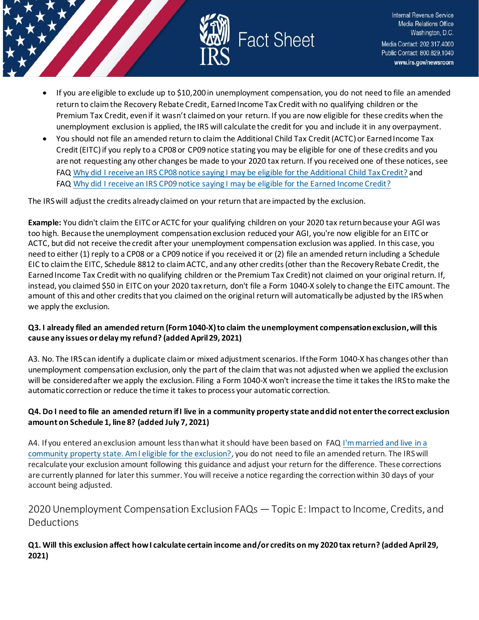

- If you are eligible to exclude up to \$10,200 in unemployment compensation, you do not need to file an amended return to claim the Recovery Rebate Credit, Earned Income Tax Credit with no qualifying children or the Premium Tax Credit, even if it wasn't claimed on your return. If you are now eligible for these credits when the unemployment exclusion is applied, the IRS will calculate the credit for you and include it in any overpayment.
- You should not file an amended return to claim the Additional Child Tax Credit (ACTC) or Earned Income Tax Credit (EITC) if you reply to a CP08 or CP09 notice stating you may be eligible for one of these credits and you are not requesting any other changes be made to your 2020 tax return. If you received one of these notices, see FAQ [Why did I receive an IRS CP08 notice saying I may be eligible for the Additional Child Tax Credit?](https://www.irs.gov/newsroom/2020-unemployment-compensation-exclusion-faqs-topic-g-receiving-a-refund-letter-or-notice#q8) and FAQ [Why did I receive an IRS CP09 notice saying I may be eligible for the Earned Income Credit?](https://www.irs.gov/newsroom/2020-unemployment-compensation-exclusion-faqs-topic-g-receiving-a-refund-letter-or-notice#q9)

The IRS will adjust the credits already claimed on your return that are impacted by the exclusion.

**Example:** You didn't claim the EITC or ACTC for your qualifying children on your 2020 tax return because your AGI was too high. Because the unemployment compensation exclusion reduced your AGI, you're now eligible for an EITC or ACTC, but did not receive the credit after your unemployment compensation exclusion was applied. In this case, you need to either (1) reply to a CP08 or a CP09 notice if you received it or (2) file an amended return including a Schedule EIC to claim the EITC, Schedule 8812 to claim ACTC, and any other credits (other than the Recovery Rebate Credit, the Earned Income Tax Credit with no qualifying children or the Premium Tax Credit) not claimed on your original return. If, instead, you claimed \$50 in EITC on your 2020 tax return, don't file a Form 1040-X solely to change the EITC amount. The amount of this and other credits that you claimed on the original return will automatically be adjusted by the IRS when we apply the exclusion.

#### **Q3. I already filed an amended return (Form 1040-X) to claim the unemployment compensation exclusion, will this cause any issues or delay my refund? (added April 29, 2021)**

A3. No. The IRS can identify a duplicate claim or mixed adjustment scenarios. If the Form 1040-X has changes other than unemployment compensation exclusion, only the part of the claim that was not adjusted when we applied the exclusion will be considered after we apply the exclusion. Filing a Form 1040-X won't increase the time it takes the IRS to make the automatic correction or reduce the time it takes to process your automatic correction.

#### **Q4. Do I need to file an amended return if I live in a community property state and did not enter the correct exclusion amount on Schedule 1, line 8? (added July 7, 2021)**

A4. If you entered an exclusion amount less than what it should have been based on FAQ [I'm married and live in a](https://www.irs.gov/newsroom/2020-unemployment-compensation-exclusion-faqs-topic-a-eligibility#q4)  [community property state. Am I eligible for the exclusion?,](https://www.irs.gov/newsroom/2020-unemployment-compensation-exclusion-faqs-topic-a-eligibility#q4) you do not need to file an amended return. The IRS will recalculate your exclusion amount following this guidance and adjust your return for the difference. These corrections are currently planned for later this summer. You will receive a notice regarding the correction within 30 days of your account being adjusted.

## <span id="page-5-0"></span>2020 Unemployment Compensation Exclusion FAQs — Topic E: Impact to Income, Credits, and Deductions

## **Q1. Will this exclusion affect how I calculate certain income and/or credits on my 2020 tax return? (added April 29, 2021)**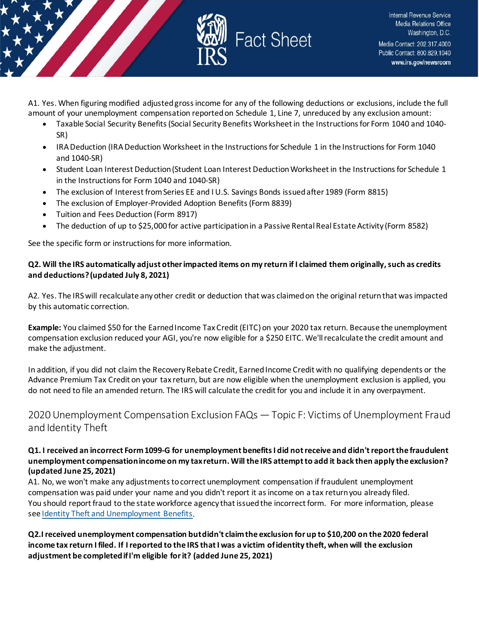

A1. Yes. When figuring modified adjusted gross income for any of the following deductions or exclusions, include the full amount of your unemployment compensation reported on Schedule 1, Line 7, unreduced by any exclusion amount:

- Taxable Social Security Benefits (Social Security Benefits Worksheet in the Instructions for Form 1040 and 1040- SR)
- IRA Deduction (IRA Deduction Worksheet in the Instructions for Schedule 1 in the Instructions for Form 1040 and 1040-SR)
- Student Loan Interest Deduction (Student Loan Interest Deduction Worksheet in the Instructions for Schedule 1 in the Instructions for Form 1040 and 1040-SR)
- The exclusion of Interest from Series EE and I U.S. Savings Bonds issued after 1989 (Form 8815)
- The exclusion of Employer-Provided Adoption Benefits (Form 8839)
- Tuition and Fees Deduction (Form 8917)
- The deduction of up to \$25,000 for active participation in a Passive Rental Real Estate Activity (Form 8582)

See the specific form or instructions for more information.

## **Q2. Will the IRS automatically adjust other impacted items on my return if I claimed them originally, such as credits and deductions?(updated July 8, 2021)**

A2. Yes. The IRS will recalculate any other credit or deduction that was claimed on the original return that was impacted by this automatic correction.

**Example:** You claimed \$50 for the Earned Income Tax Credit (EITC) on your 2020 tax return. Because the unemployment compensation exclusion reduced your AGI, you're now eligible for a \$250 EITC. We'll recalculate the credit amount and make the adjustment.

In addition, if you did not claim the Recovery Rebate Credit, Earned Income Credit with no qualifying dependents or the Advance Premium Tax Credit on your tax return, but are now eligible when the unemployment exclusion is applied, you do not need to file an amended return. The IRS will calculate the credit for you and include it in any overpayment.

## <span id="page-6-0"></span>2020 Unemployment Compensation Exclusion FAQs — Topic F: Victims of Unemployment Fraud and Identity Theft

#### **Q1. I received an incorrect Form 1099-G for unemployment benefits I did not receive and didn't report the fraudulent unemployment compensation income on my tax return. Will the IRS attempt to add it back then apply the exclusion? (updated June 25, 2021)**

A1. No, we won't make any adjustments to correct unemployment compensation if fraudulent unemployment compensation was paid under your name and you didn't report it as income on a tax return you already filed. You should report fraud to the state workforce agency that issued the incorrect form. For more information, please see [Identity Theft and Unemployment Benefits.](https://www.irs.gov/identity-theft-fraud-scams/identity-theft-and-unemployment-benefits)

**Q2.I received unemployment compensation but didn't claim the exclusion for up to \$10,200 on the 2020 federal income tax return I filed. If Ireported to the IRS that I was a victim of identity theft, when will the exclusion adjustment be completed if I'm eligible for it? (added June 25, 2021)**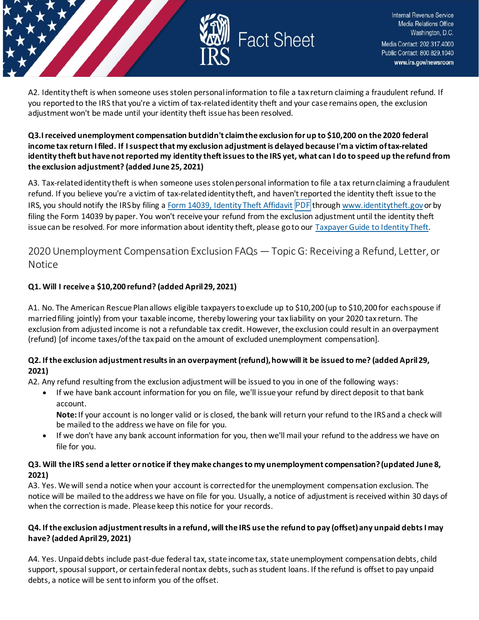

A2. Identity theft is when someone uses stolen personal information to file a tax return claiming a fraudulent refund. If you reported to the IRS that you're a victim of tax-related identity theft and your case remains open, the exclusion adjustment won't be made until your identity theft issue has been resolved.

#### **Q3.I received unemployment compensation but didn't claim the exclusion for up to \$10,200 on the 2020 federal income tax return I filed. If I suspect that my exclusion adjustment is delayed because I'm a victim of tax-related identity theft but have not reported my identity theft issues to the IRS yet, what can I do to speed up the refund from the exclusion adjustment? (added June 25, 2021)**

A3. Tax-related identity theft is when someone uses stolen personal information to file a tax return claiming a fraudulent refund. If you believe you're a victim of tax-related identity theft, and haven't reported the identity theft issue to the IRS, you should notify the IRS by filing a [Form 14039, Identity Theft Affidavit](https://www.irs.gov/pub/irs-pdf/f14039.pdf) PDF through [www.identitytheft.gov](https://www.identitytheft.gov/) or by filing the Form 14039 by paper. You won't receive your refund from the exclusion adjustment until the identity theft issue can be resolved. For more information about identity theft, please go to our [Taxpayer Guide to Identity Theft.](https://www.irs.gov/newsroom/taxpayer-guide-to-identity-theft)

## <span id="page-7-0"></span>2020 Unemployment Compensation Exclusion FAQs — Topic G: Receiving a Refund, Letter, or Notice

## **Q1. Will I receive a \$10,200 refund? (added April 29, 2021)**

A1. No. The American Rescue Plan allows eligible taxpayers to exclude up to \$10,200 (up to \$10,200 for each spouse if married filing jointly) from your taxable income, thereby lowering your tax liability on your 2020 tax return. The exclusion from adjusted income is not a refundable tax credit. However, the exclusion could result in an overpayment (refund) [of income taxes/of the tax paid on the amount of excluded unemployment compensation].

#### **Q2. If the exclusion adjustment results in an overpayment (refund), how will it be issued to me? (added April 29, 2021)**

A2. Any refund resulting from the exclusion adjustment will be issued to you in one of the following ways:

• If we have bank account information for you on file, we'll issue your refund by direct deposit to that bank account.

**Note:** If your account is no longer valid or is closed, the bank will return your refund to the IRSand a check will be mailed to the address we have on file for you.

• If we don't have any bank account information for you, then we'll mail your refund to the address we have on file for you.

#### **Q3. Will the IRS send a letter or notice if they make changes to my unemployment compensation? (updated June 8, 2021)**

A3. Yes. We will send a notice when your account is corrected for the unemployment compensation exclusion. The notice will be mailed to the address we have on file for you. Usually, a notice of adjustment is received within 30 days of when the correction is made. Please keep this notice for your records.

#### **Q4. If the exclusion adjustment results in a refund, will the IRS use the refund to pay (offset) any unpaid debts I may have? (added April 29, 2021)**

A4. Yes. Unpaid debts include past-due federal tax, state income tax, state unemployment compensation debts, child support, spousal support, or certain federal nontax debts, such as student loans. If the refund is offset to pay unpaid debts, a notice will be sent to inform you of the offset.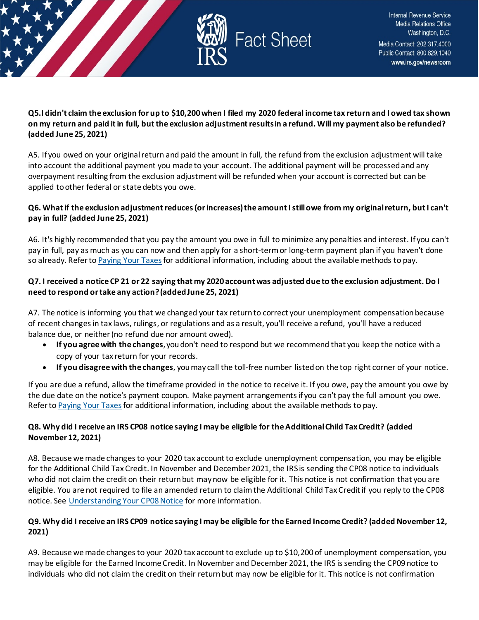

#### **Q5.I didn't claim the exclusion for up to \$10,200 when I filed my 2020 federal income tax return and I owed tax shown on my return and paid it in full, but the exclusion adjustment results in a refund. Will my payment also be refunded? (added June 25, 2021)**

A5. If you owed on your original return and paid the amount in full, the refund from the exclusion adjustment will take into account the additional payment you made to your account. The additional payment will be processed and any overpayment resulting from the exclusion adjustment will be refunded when your account is corrected but can be applied to other federal or state debts you owe.

## **Q6. What if the exclusion adjustment reduces (or increases) the amount I still owe from my original return, but I can't pay in full? (added June 25, 2021)**

A6. It's highly recommended that you pay the amount you owe in full to minimize any penalties and interest. If you can't pay in full, pay as much as you can now and then apply for a short-term or long-term payment plan if you haven't done so already. Refer to [Paying Your Taxes](https://www.irs.gov/payments)for additional information, including about the available methods to pay.

#### **Q7. I received a notice CP 21 or 22 saying that my 2020 account was adjusted due to the exclusion adjustment. Do I need to respond or take any action? (added June 25, 2021)**

A7. The notice is informing you that we changed your tax return to correct your unemployment compensation because of recent changes in tax laws, rulings, or regulations and as a result, you'll receive a refund, you'll have a reduced balance due, or neither (no refund due nor amount owed).

- **If you agree with the changes**, you don't need to respond but we recommend that you keep the notice with a copy of your tax return for your records.
- **If you disagree with the changes**, you may call the toll-free number listed on the top right corner of your notice.

If you are due a refund, allow the timeframe provided in the notice to receive it. If you owe, pay the amount you owe by the due date on the notice's payment coupon. Make payment arrangements if you can't pay the full amount you owe. Refer to [Paying Your Taxes](https://www.irs.gov/payments)for additional information, including about the available methods to pay.

#### **Q8. Why did I receive an IRS CP08 notice saying I may be eligible for the Additional Child Tax Credit? (added November 12, 2021)**

A8. Because we made changes to your 2020 tax account to exclude unemployment compensation, you may be eligible for the Additional Child Tax Credit. In November and December 2021, the IRS is sending the CP08 notice to individuals who did not claim the credit on their return but may now be eligible for it. This notice is not confirmation that you are eligible. You are not required to file an amended return to claim the Additional Child Tax Credit if you reply to the CP08 notice. See [Understanding Your CP08 Notice](https://www.irs.gov/individuals/understanding-your-cp08-notice) for more information.

#### **Q9. Why did I receive an IRS CP09 notice saying I may be eligible for the Earned Income Credit? (added November 12, 2021)**

A9. Because we made changes to your 2020 tax account to exclude up to \$10,200 of unemployment compensation, you may be eligible for the Earned Income Credit. In November and December 2021, the IRS is sending the CP09 notice to individuals who did not claim the credit on their return but may now be eligible for it. This notice is not confirmation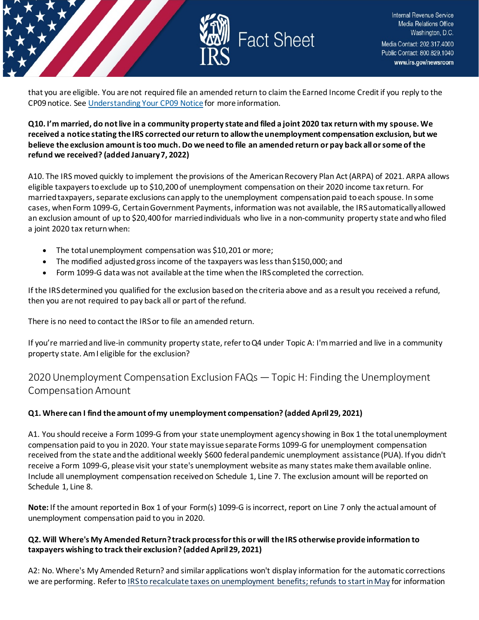

that you are eligible. You are not required file an amended return to claim the Earned Income Credit if you reply to the CP09 notice. See [Understanding Your CP09 Notice](https://www.irs.gov/individuals/understanding-your-cp09-notice) for more information.

#### **Q10. I'm married, do not live in a community property state and filed a joint 2020 tax return with my spouse. We received a notice stating the IRS corrected our return to allow the unemployment compensation exclusion, but we believe the exclusion amount is too much. Do we need to file an amended return or pay back all or some of the refund we received? (added January 7, 2022)**

A10. The IRS moved quickly to implement the provisions of the American Recovery Plan Act (ARPA) of 2021. ARPA allows eligible taxpayers to exclude up to \$10,200 of unemployment compensation on their 2020 income tax return. For married taxpayers, separate exclusions can apply to the unemployment compensation paid to each spouse. In some cases, when Form 1099-G, Certain Government Payments, information was not available, the IRS automatically allowed an exclusion amount of up to \$20,400 for married individuals who live in a non-community property state and who filed a joint 2020 tax return when:

- The total unemployment compensation was \$10,201 or more;
- The modified adjusted gross income of the taxpayers was less than \$150,000; and
- Form 1099-G data was not available at the time when the IRS completed the correction.

If the IRS determined you qualified for the exclusion based on the criteria above and as a result you received a refund, then you are not required to pay back all or part of the refund.

There is no need to contact the IRS or to file an amended return.

If you're married and live-in community property state, refer to Q4 under Topic A: I'm married and live in a community property state. Am I eligible for the exclusion?

## <span id="page-9-0"></span>2020 Unemployment Compensation Exclusion FAQs — Topic H: Finding the Unemployment Compensation Amount

## **Q1. Where can I find the amount of my unemployment compensation? (added April 29, 2021)**

A1. You should receive a Form 1099-G from your state unemployment agency showing in Box 1 the total unemployment compensation paid to you in 2020. Your state may issue separate Forms 1099-G for unemployment compensation received from the state and the additional weekly \$600 federal pandemic unemployment assistance (PUA). If you didn't receive a Form 1099-G, please visit your state's unemployment website as many states make them available online. Include all unemployment compensation received on Schedule 1, Line 7. The exclusion amount will be reported on Schedule 1, Line 8.

**Note:** If the amount reported in Box 1 of your Form(s) 1099-G is incorrect, report on Line 7 only the actual amount of unemployment compensation paid to you in 2020.

#### **Q2. Will Where's My Amended Return? track process for this or will the IRS otherwise provide information to taxpayers wishing to track their exclusion? (added April 29, 2021)**

A2: No. Where's My Amended Return? and similar applications won't display information for the automatic corrections we are performing. Refer to [IRS to recalculate taxes on unemployment benefits; refunds to start in May](https://www.irs.gov/newsroom/irs-to-recalculate-taxes-on-unemployment-benefits-refunds-to-start-in-may) for information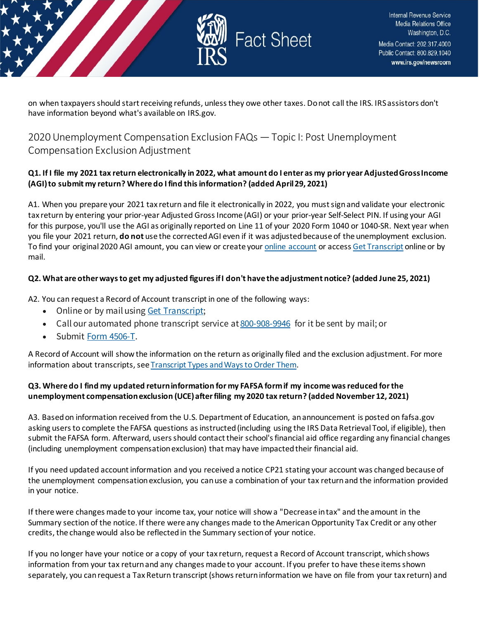

on when taxpayers should start receiving refunds, unless they owe other taxes. Do not call the IRS. IRS assistors don't have information beyond what's available on IRS.gov.

## <span id="page-10-0"></span>2020 Unemployment Compensation Exclusion FAQs — Topic I: Post Unemployment Compensation Exclusion Adjustment

#### **Q1. If I file my 2021 tax return electronically in 2022, what amount do I enter as my prior year Adjusted Gross Income (AGI) to submit my return? Where do I find this information? (added April 29, 2021)**

A1. When you prepare your 2021 tax return and file it electronically in 2022, you must sign and validate your electronic tax return by entering your prior-year Adjusted Gross Income (AGI) or your prior-year Self-Select PIN. If using your AGI for this purpose, you'll use the AGI as originally reported on Line 11 of your 2020 Form 1040 or 1040-SR. Next year when you file your 2021 return, **do not** use the corrected AGI even if it was adjusted because of the unemployment exclusion. To find your original 2020 AGI amount, you can view or create your [online account](https://www.irs.gov/payments/your-online-account) or access [Get Transcript](https://www.irs.gov/individuals/get-transcript) online or by mail.

## **Q2. What are other ways to get my adjusted figures if I don't have the adjustment notice? (added June 25, 2021)**

A2. You can request a Record of Account transcript in one of the following ways:

- Online or by mail using [Get Transcript;](https://www.irs.gov/individuals/get-transcript)
- Call our automated phone transcript service at [800-908-9946](tel:800-908-9946) for it be sent by mail; or
- Submit [Form 4506-T.](https://www.irs.gov/forms-pubs/about-form-4506-t)

A Record of Account will show the information on the return as originally filed and the exclusion adjustment. For more information about transcripts, see [Transcript Types and Ways to Order Them.](https://www.irs.gov/individuals/transcript-types-and-ways-to-order-them)

#### **Q3. Where do I find my updated return information for my FAFSA form if my income was reduced for the unemployment compensation exclusion (UCE) after filing my 2020 tax return? (added November 12, 2021)**

A3. Based on information received from the U.S. Department of Education, an announcement is posted on fafsa.gov asking users to complete the FAFSA questions as instructed (including using the IRS Data Retrieval Tool, if eligible), then submit the FAFSA form. Afterward, users should contact their school's financial aid office regarding any financial changes (including unemployment compensation exclusion) that may have impacted their financial aid.

If you need updated account information and you received a notice CP21 stating your account was changed because of the unemployment compensation exclusion, you can use a combination of your tax return and the information provided in your notice.

If there were changes made to your income tax, your notice will show a "Decrease in tax" and the amount in the Summary section of the notice. If there were any changes made to the American Opportunity Tax Credit or any other credits, the change would also be reflected in the Summary section of your notice.

If you no longer have your notice or a copy of your tax return, request a Record of Account transcript, which shows information from your tax return and any changes made to your account. If you prefer to have these items shown separately, you can request a Tax Return transcript (shows return information we have on file from your tax return) and